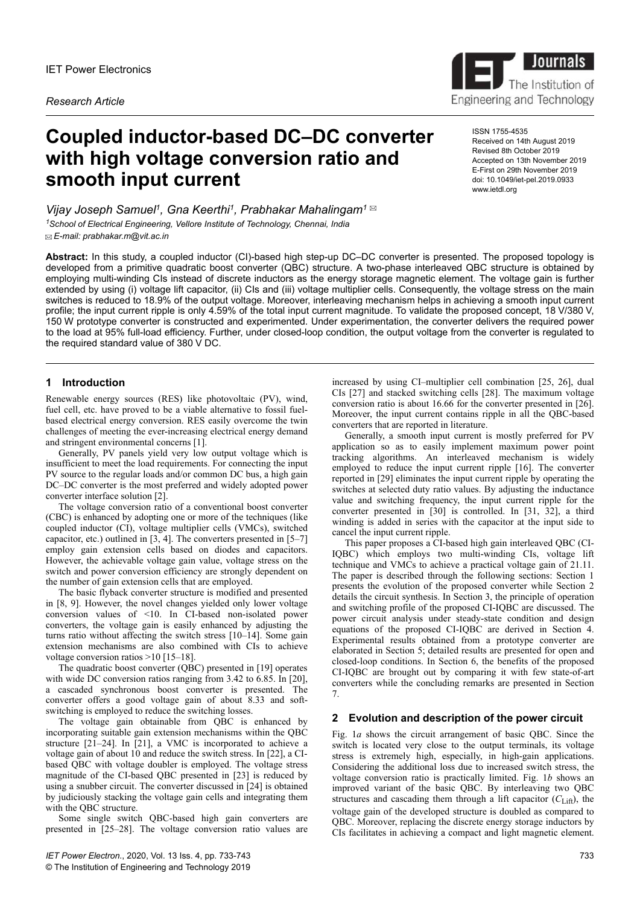# **Coupled inductor-based DC–DC converter with high voltage conversion ratio and smooth input current**

*Vijay Joseph Samuel<sup>1</sup> , Gna Keerthi<sup>1</sup> , Prabhakar Mahalingam<sup>1</sup> <sup>1</sup>School of Electrical Engineering, Vellore Institute of Technology, Chennai, India E-mail: prabhakar.m@vit.ac.in*

**Abstract:** In this study, a coupled inductor (CI)-based high step-up DC–DC converter is presented. The proposed topology is developed from a primitive quadratic boost converter (QBC) structure. A two-phase interleaved QBC structure is obtained by employing multi-winding CIs instead of discrete inductors as the energy storage magnetic element. The voltage gain is further extended by using (i) voltage lift capacitor, (ii) CIs and (iii) voltage multiplier cells. Consequently, the voltage stress on the main switches is reduced to 18.9% of the output voltage. Moreover, interleaving mechanism helps in achieving a smooth input current profile; the input current ripple is only 4.59% of the total input current magnitude. To validate the proposed concept, 18 V/380 V, 150 W prototype converter is constructed and experimented. Under experimentation, the converter delivers the required power to the load at 95% full-load efficiency. Further, under closed-loop condition, the output voltage from the converter is regulated to the required standard value of 380 V DC.

# **1 Introduction**

Renewable energy sources (RES) like photovoltaic (PV), wind, fuel cell, etc. have proved to be a viable alternative to fossil fuelbased electrical energy conversion. RES easily overcome the twin challenges of meeting the ever-increasing electrical energy demand and stringent environmental concerns [1].

Generally, PV panels yield very low output voltage which is insufficient to meet the load requirements. For connecting the input PV source to the regular loads and/or common DC bus, a high gain DC–DC converter is the most preferred and widely adopted power converter interface solution [2].

The voltage conversion ratio of a conventional boost converter (CBC) is enhanced by adopting one or more of the techniques (like coupled inductor (CI), voltage multiplier cells (VMCs), switched capacitor, etc.) outlined in [3, 4]. The converters presented in [5–7] employ gain extension cells based on diodes and capacitors. However, the achievable voltage gain value, voltage stress on the switch and power conversion efficiency are strongly dependent on the number of gain extension cells that are employed.

The basic flyback converter structure is modified and presented in [8, 9]. However, the novel changes yielded only lower voltage conversion values of <10. In CI-based non-isolated power converters, the voltage gain is easily enhanced by adjusting the turns ratio without affecting the switch stress [10–14]. Some gain extension mechanisms are also combined with CIs to achieve voltage conversion ratios >10 [15–18].

The quadratic boost converter (QBC) presented in [19] operates with wide DC conversion ratios ranging from 3.42 to 6.85. In [20], a cascaded synchronous boost converter is presented. The converter offers a good voltage gain of about 8.33 and softswitching is employed to reduce the switching losses.

The voltage gain obtainable from QBC is enhanced by incorporating suitable gain extension mechanisms within the QBC structure [21–24]. In [21], a VMC is incorporated to achieve a voltage gain of about 10 and reduce the switch stress. In [22], a CIbased QBC with voltage doubler is employed. The voltage stress magnitude of the CI-based QBC presented in [23] is reduced by using a snubber circuit. The converter discussed in [24] is obtained by judiciously stacking the voltage gain cells and integrating them with the QBC structure.

Some single switch QBC-based high gain converters are presented in [25–28]. The voltage conversion ratio values are



ISSN 1755-4535 Received on 14th August 2019 Revised 8th October 2019 Accepted on 13th November 2019 E-First on 29th November 2019 doi: 10.1049/iet-pel.2019.0933 www.ietdl.org

increased by using CI–multiplier cell combination [25, 26], dual CIs [27] and stacked switching cells [28]. The maximum voltage conversion ratio is about 16.66 for the converter presented in [26]. Moreover, the input current contains ripple in all the QBC-based converters that are reported in literature.

Generally, a smooth input current is mostly preferred for PV application so as to easily implement maximum power point tracking algorithms. An interleaved mechanism is widely employed to reduce the input current ripple [16]. The converter reported in [29] eliminates the input current ripple by operating the switches at selected duty ratio values. By adjusting the inductance value and switching frequency, the input current ripple for the converter presented in [30] is controlled. In [31, 32], a third winding is added in series with the capacitor at the input side to cancel the input current ripple.

This paper proposes a CI-based high gain interleaved QBC (CI-IQBC) which employs two multi-winding CIs, voltage lift technique and VMCs to achieve a practical voltage gain of 21.11. The paper is described through the following sections: Section 1 presents the evolution of the proposed converter while Section 2 details the circuit synthesis. In Section 3, the principle of operation and switching profile of the proposed CI-IQBC are discussed. The power circuit analysis under steady-state condition and design equations of the proposed CI-IQBC are derived in Section 4. Experimental results obtained from a prototype converter are elaborated in Section 5; detailed results are presented for open and closed-loop conditions. In Section 6, the benefits of the proposed CI-IQBC are brought out by comparing it with few state-of-art converters while the concluding remarks are presented in Section 7.

## **2 Evolution and description of the power circuit**

Fig. 1*a* shows the circuit arrangement of basic QBC. Since the switch is located very close to the output terminals, its voltage stress is extremely high, especially, in high-gain applications. Considering the additional loss due to increased switch stress, the voltage conversion ratio is practically limited. Fig. 1*b* shows an improved variant of the basic QBC. By interleaving two QBC structures and cascading them through a lift capacitor  $(C_{\text{Liff}})$ , the voltage gain of the developed structure is doubled as compared to QBC. Moreover, replacing the discrete energy storage inductors by CIs facilitates in achieving a compact and light magnetic element.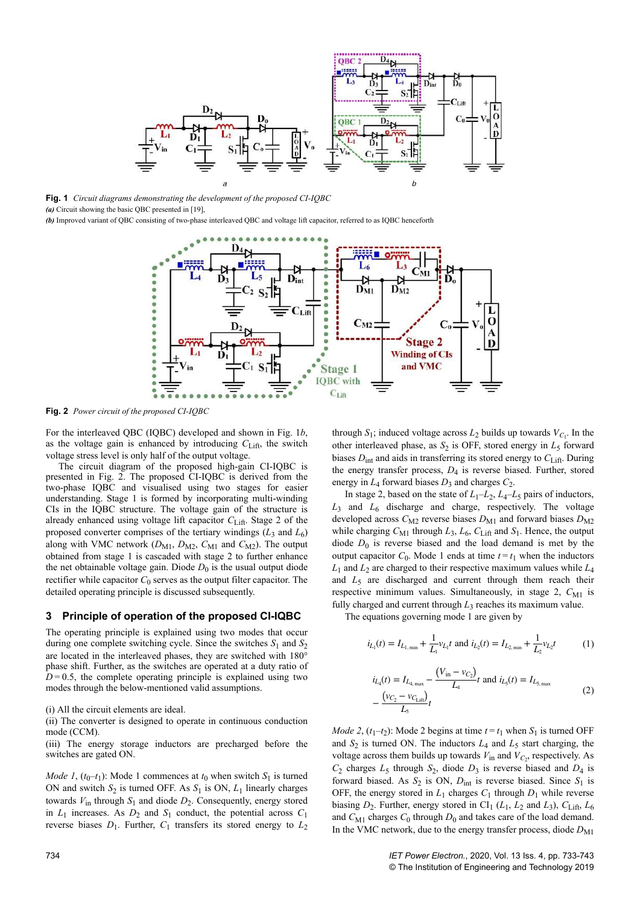

**Fig. 1** *Circuit diagrams demonstrating the development of the proposed CI-IQBC*

*(a)* Circuit showing the basic QBC presented in [19],

*(b)* Improved variant of QBC consisting of two-phase interleaved QBC and voltage lift capacitor, referred to as IQBC henceforth



**Fig. 2** *Power circuit of the proposed CI-IQBC*

For the interleaved QBC (IQBC) developed and shown in Fig. 1*b*, as the voltage gain is enhanced by introducing  $C_{\text{Liff}}$ , the switch voltage stress level is only half of the output voltage.

The circuit diagram of the proposed high-gain CI-IQBC is presented in Fig. 2. The proposed CI-IQBC is derived from the two-phase IQBC and visualised using two stages for easier understanding. Stage 1 is formed by incorporating multi-winding CIs in the IQBC structure. The voltage gain of the structure is already enhanced using voltage lift capacitor *C*Lift. Stage 2 of the proposed converter comprises of the tertiary windings  $(L_3 \text{ and } L_6)$ along with VMC network  $(D_{M1}, D_{M2}, C_{M1}$  and  $C_{M2}$ ). The output obtained from stage 1 is cascaded with stage 2 to further enhance the net obtainable voltage gain. Diode  $D_0$  is the usual output diode rectifier while capacitor  $C_0$  serves as the output filter capacitor. The detailed operating principle is discussed subsequently.

## **3 Principle of operation of the proposed CI-IQBC**

The operating principle is explained using two modes that occur during one complete switching cycle. Since the switches  $S_1$  and  $S_2$ are located in the interleaved phases, they are switched with 180° phase shift. Further, as the switches are operated at a duty ratio of  $D=0.5$ , the complete operating principle is explained using two modes through the below-mentioned valid assumptions.

(i) All the circuit elements are ideal.

(ii) The converter is designed to operate in continuous conduction mode (CCM).

(iii) The energy storage inductors are precharged before the switches are gated ON.

*Mode 1*,  $(t_0-t_1)$ : Mode 1 commences at  $t_0$  when switch  $S_1$  is turned ON and switch  $S_2$  is turned OFF. As  $S_1$  is ON,  $L_1$  linearly charges towards  $V_{\text{in}}$  through  $S_1$  and diode  $D_2$ . Consequently, energy stored in  $L_1$  increases. As  $D_2$  and  $S_1$  conduct, the potential across  $C_1$ reverse biases  $D_1$ . Further,  $C_1$  transfers its stored energy to  $L_2$  through  $S_1$ ; induced voltage across  $L_2$  builds up towards  $V_{C_1}$ . In the other interleaved phase, as  $S_2$  is OFF, stored energy in  $L_5$  forward biases  $D_{int}$  and aids in transferring its stored energy to  $C_{Lif}$ . During the energy transfer process,  $D_4$  is reverse biased. Further, stored energy in  $L_4$  forward biases  $D_3$  and charges  $C_2$ .

In stage 2, based on the state of  $L_1 - L_2$ ,  $L_4 - L_5$  pairs of inductors, *L*3 and *L*<sup>6</sup> discharge and charge, respectively. The voltage developed across  $C_{\text{M2}}$  reverse biases  $D_{\text{M1}}$  and forward biases  $D_{\text{M2}}$ while charging  $C_{\text{M1}}$  through  $L_3$ ,  $L_6$ ,  $C_{\text{Liff}}$  and  $S_1$ . Hence, the output diode  $D_0$  is reverse biased and the load demand is met by the output capacitor  $C_0$ . Mode 1 ends at time  $t = t_1$  when the inductors  $L_1$  and  $L_2$  are charged to their respective maximum values while  $L_4$ and  $L_5$  are discharged and current through them reach their respective minimum values. Simultaneously, in stage 2,  $C_{\text{M1}}$  is fully charged and current through  $L_3$  reaches its maximum value.

The equations governing mode 1 are given by

$$
i_{L_1}(t) = I_{L_{1,\min}} + \frac{1}{L_1} v_{L_1} t
$$
 and  $i_{L_2}(t) = I_{L_{2,\min}} + \frac{1}{L_2} v_{L_2} t$  (1)

$$
i_{L_4}(t) = I_{L_{4,\text{max}}} - \frac{(V_{\text{in}} - v_{C_2})}{L_4} t \text{ and } i_{L_5}(t) = I_{L_{5,\text{max}}} - \frac{(v_{C_2} - v_{C_{\text{Lifi}}})}{L_5} t
$$
 (2)

*Mode 2*,  $(t_1-t_2)$ : Mode 2 begins at time  $t = t_1$  when  $S_1$  is turned OFF and  $S_2$  is turned ON. The inductors  $L_4$  and  $L_5$  start charging, the voltage across them builds up towards  $V_{\text{in}}$  and  $V_{C_2}$ , respectively. As  $C_2$  charges  $L_5$  through  $S_2$ , diode  $D_3$  is reverse biased and  $D_4$  is forward biased. As  $S_2$  is ON,  $D_{int}$  is reverse biased. Since  $S_1$  is OFF, the energy stored in  $L_1$  charges  $C_1$  through  $D_1$  while reverse biasing  $D_2$ . Further, energy stored in CI<sub>1</sub> ( $L_1$ ,  $L_2$  and  $L_3$ ),  $C_{\text{Lift}}$ ,  $L_6$ and  $C_{\text{M1}}$  charges  $C_0$  through  $D_0$  and takes care of the load demand. In the VMC network, due to the energy transfer process, diode  $D_{\text{M1}}$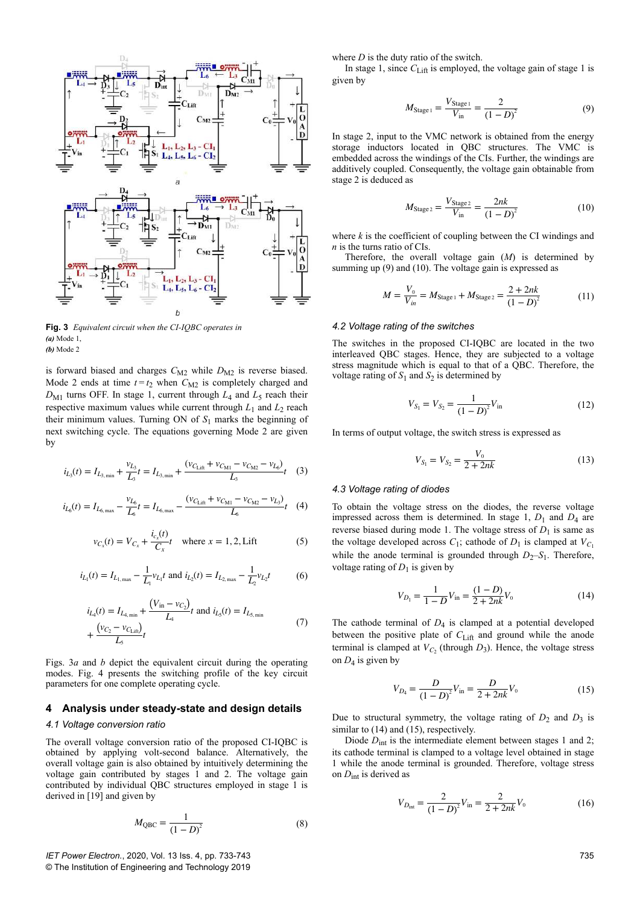

**Fig. 3** *Equivalent circuit when the CI-IQBC operates in (a)* Mode 1, *(b)* Mode 2

is forward biased and charges  $C_{M2}$  while  $D_{M2}$  is reverse biased. Mode 2 ends at time  $t = t_2$  when  $C_{M2}$  is completely charged and  $D_{\rm M1}$  turns OFF. In stage 1, current through  $L_4$  and  $L_5$  reach their respective maximum values while current through  $L_1$  and  $L_2$  reach their minimum values. Turning ON of  $S_1$  marks the beginning of next switching cycle. The equations governing Mode 2 are given by

$$
i_{L_3}(t) = I_{L_{3,\min}} + \frac{v_{L_3}}{L_3}t = I_{L_{3,\min}} + \frac{(v_{C_{\text{Liff}}} + v_{C_{\text{M1}}} - v_{C_{\text{M2}}} - v_{L_6})}{L_3}t \quad (3)
$$

$$
i_{L_6}(t) = I_{L_{6,\text{max}}} - \frac{v_{L_6}}{L_6}t = I_{L_{6,\text{max}}} - \frac{(v_{C_{\text{Lift}}} + v_{C_{\text{M1}}} - v_{C_{\text{M2}}} - v_{L_3})}{L_6}t \tag{4}
$$

$$
v_{C_x}(t) = V_{C_x} + \frac{i_{c_x}(t)}{C_x}t \quad \text{where } x = 1, 2, \text{Lift} \tag{5}
$$

$$
i_{L_1}(t) = I_{L_{1,\text{max}}} - \frac{1}{L_1} v_{L_1} t
$$
 and  $i_{L_2}(t) = I_{L_{2,\text{max}}} - \frac{1}{L_2} v_{L_2} t$  (6)

$$
i_{L_4}(t) = I_{L_{4,\min}} + \frac{(V_{\text{in}} - v_{C_2})}{L_4}t \text{ and } i_{L_5}(t) = I_{L_{5,\min}}
$$
  
+ 
$$
\frac{(v_{C_2} - v_{C_{\text{Lifl}}})}{L_5}t
$$
 (7)

Figs. 3*a* and *b* depict the equivalent circuit during the operating modes. Fig. 4 presents the switching profile of the key circuit parameters for one complete operating cycle.

## **4 Analysis under steady-state and design details**

## *4.1 Voltage conversion ratio*

The overall voltage conversion ratio of the proposed CI-IQBC is obtained by applying volt-second balance. Alternatively, the overall voltage gain is also obtained by intuitively determining the voltage gain contributed by stages 1 and 2. The voltage gain contributed by individual QBC structures employed in stage 1 is derived in [19] and given by

$$
M_{\rm QBC} = \frac{1}{(1 - D)^2}
$$
 (8)

where *D* is the duty ratio of the switch.

In stage 1, since  $C_{\text{Liff}}$  is employed, the voltage gain of stage 1 is given by

$$
M_{\text{Stage 1}} = \frac{V_{\text{Stage 1}}}{V_{\text{in}}} = \frac{2}{(1 - D)^2}
$$
(9)

In stage 2, input to the VMC network is obtained from the energy storage inductors located in QBC structures. The VMC is embedded across the windings of the CIs. Further, the windings are additively coupled. Consequently, the voltage gain obtainable from stage 2 is deduced as

$$
M_{\text{Stage 2}} = \frac{V_{\text{Stage 2}}}{V_{\text{in}}} = \frac{2nk}{(1 - D)^2}
$$
 (10)

where *k* is the coefficient of coupling between the CI windings and *n* is the turns ratio of CIs.

Therefore, the overall voltage gain (*M*) is determined by summing up (9) and (10). The voltage gain is expressed as

$$
M = \frac{V_0}{V_{in}} = M_{\text{Stage 1}} + M_{\text{Stage 2}} = \frac{2 + 2nk}{(1 - D)^2}
$$
(11)

#### *4.2 Voltage rating of the switches*

The switches in the proposed CI-IQBC are located in the two interleaved QBC stages. Hence, they are subjected to a voltage stress magnitude which is equal to that of a QBC. Therefore, the voltage rating of  $S_1$  and  $S_2$  is determined by

$$
V_{S_1} = V_{S_2} = \frac{1}{(1 - D)^2} V_{\text{in}} \tag{12}
$$

In terms of output voltage, the switch stress is expressed as

$$
V_{S_1} = V_{S_2} = \frac{V_0}{2 + 2nk} \tag{13}
$$

## *4.3 Voltage rating of diodes*

To obtain the voltage stress on the diodes, the reverse voltage impressed across them is determined. In stage  $1, D_1$  and  $D_4$  are reverse biased during mode 1. The voltage stress of  $D_1$  is same as the voltage developed across  $C_1$ ; cathode of  $D_1$  is clamped at  $V_{C_1}$ while the anode terminal is grounded through  $D_2-S_1$ . Therefore, voltage rating of  $D_1$  is given by

$$
V_{D_1} = \frac{1}{1 - D} V_{\text{in}} = \frac{(1 - D)}{2 + 2nk} V_0
$$
\n(14)

The cathode terminal of  $D_4$  is clamped at a potential developed between the positive plate of C<sub>Lift</sub> and ground while the anode terminal is clamped at  $V_{C_2}$  (through  $D_3$ ). Hence, the voltage stress on  $D_4$  is given by

$$
V_{D_4} = \frac{D}{(1 - D)^2} V_{\text{in}} = \frac{D}{2 + 2nk} V_0
$$
 (15)

Due to structural symmetry, the voltage rating of  $D_2$  and  $D_3$  is similar to  $(14)$  and  $(15)$ , respectively.

Diode  $D_{int}$  is the intermediate element between stages 1 and 2; its cathode terminal is clamped to a voltage level obtained in stage 1 while the anode terminal is grounded. Therefore, voltage stress on *D*int is derived as

$$
V_{D_{int}} = \frac{2}{(1 - D)^2} V_{in} = \frac{2}{2 + 2nk} V_0
$$
 (16)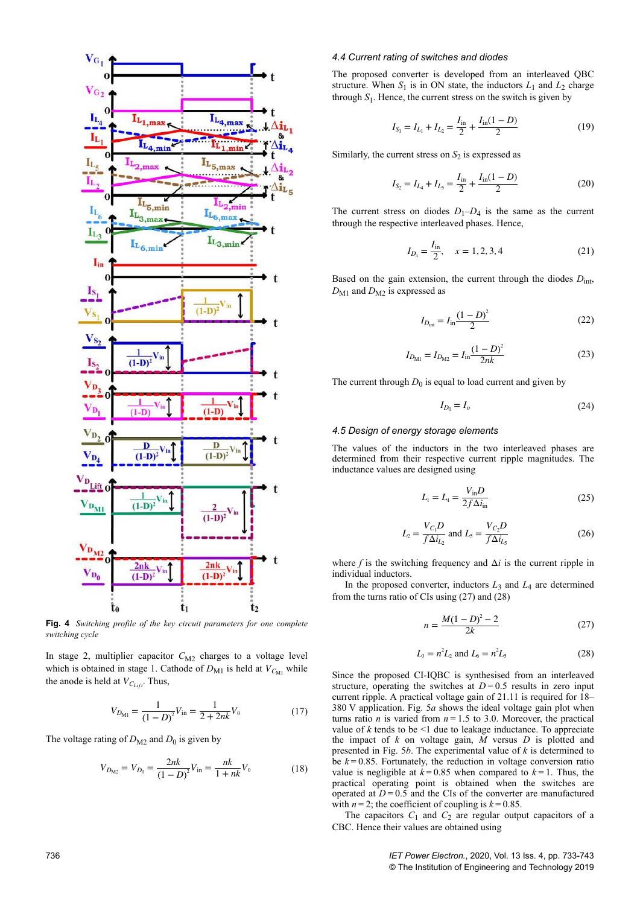

**Fig. 4** *Switching profile of the key circuit parameters for one complete switching cycle*

In stage 2, multiplier capacitor  $C_{M2}$  charges to a voltage level which is obtained in stage 1. Cathode of  $D_{\text{M1}}$  is held at  $V_{C_{\text{M1}}}$  while the anode is held at  $V_{C_{Lift}}$ . Thus,

$$
V_{D_{\rm M1}} = \frac{1}{(1 - D)^2} V_{\rm in} = \frac{1}{2 + 2nk} V_0 \tag{17}
$$

The voltage rating of  $D_{\text{M2}}$  and  $D_0$  is given by

$$
V_{D_{\text{M2}}} = V_{D_0} = \frac{2nk}{(1-D)^2} V_{\text{in}} = \frac{nk}{1+nk} V_0
$$
 (18)

## *4.4 Current rating of switches and diodes*

The proposed converter is developed from an interleaved QBC structure. When  $S_1$  is in ON state, the inductors  $L_1$  and  $L_2$  charge through  $S_1$ . Hence, the current stress on the switch is given by

$$
I_{S_1} = I_{L_1} + I_{L_2} = \frac{I_{\text{in}}}{2} + \frac{I_{\text{in}}(1 - D)}{2}
$$
 (19)

Similarly, the current stress on  $S_2$  is expressed as

$$
I_{S_2} = I_{L_4} + I_{L_5} = \frac{I_{\text{in}}}{2} + \frac{I_{\text{in}}(1 - D)}{2}
$$
 (20)

The current stress on diodes  $D_1-D_4$  is the same as the current through the respective interleaved phases. Hence,

$$
I_{D_x} = \frac{I_{\text{in}}}{2}, \quad x = 1, 2, 3, 4 \tag{21}
$$

Based on the gain extension, the current through the diodes *D*int, *D*<sub>M1</sub> and *D*<sub>M2</sub> is expressed as

$$
I_{D_{\rm int}} = I_{\rm in} \frac{(1 - D)^2}{2} \tag{22}
$$

$$
I_{D_{\rm M1}} = I_{D_{\rm M2}} = I_{\rm in} \frac{(1 - D)^2}{2nk} \tag{23}
$$

The current through  $D_0$  is equal to load current and given by

$$
I_{D_0} = I_o \tag{24}
$$

## *4.5 Design of energy storage elements*

The values of the inductors in the two interleaved phases are determined from their respective current ripple magnitudes. The inductance values are designed using

$$
L_{\rm I} = L_{\rm I} = \frac{V_{\rm in}D}{2f\Delta i_{\rm in}}\tag{25}
$$

$$
L_2 = \frac{V_{C_1}D}{f \Delta i_{L_2}} \text{ and } L_5 = \frac{V_{C_2}D}{f \Delta i_{L_5}}
$$
 (26)

where  $f$  is the switching frequency and  $\Delta i$  is the current ripple in individual inductors.

In the proposed converter, inductors  $L_3$  and  $L_4$  are determined from the turns ratio of CIs using (27) and (28)

$$
n = \frac{M(1 - D)^2 - 2}{2k} \tag{27}
$$

$$
L_3 = n^2 L_2 \text{ and } L_6 = n^2 L_5 \tag{28}
$$

Since the proposed CI-IQBC is synthesised from an interleaved structure, operating the switches at  $D=0.5$  results in zero input current ripple. A practical voltage gain of 21.11 is required for 18– 380 V application. Fig. 5*a* shows the ideal voltage gain plot when turns ratio *n* is varied from  $n = 1.5$  to 3.0. Moreover, the practical value of  $k$  tends to be  $\leq 1$  due to leakage inductance. To appreciate the impact of  $k$  on voltage gain,  $\overline{M}$  versus  $D$  is plotted and presented in Fig. 5*b*. The experimental value of *k* is determined to be  $k = 0.85$ . Fortunately, the reduction in voltage conversion ratio value is negligible at  $k = 0.85$  when compared to  $k = 1$ . Thus, the practical operating point is obtained when the switches are operated at  $D = 0.5$  and the CIs of the converter are manufactured with  $n=2$ ; the coefficient of coupling is  $k=0.85$ .

The capacitors  $C_1$  and  $C_2$  are regular output capacitors of a CBC. Hence their values are obtained using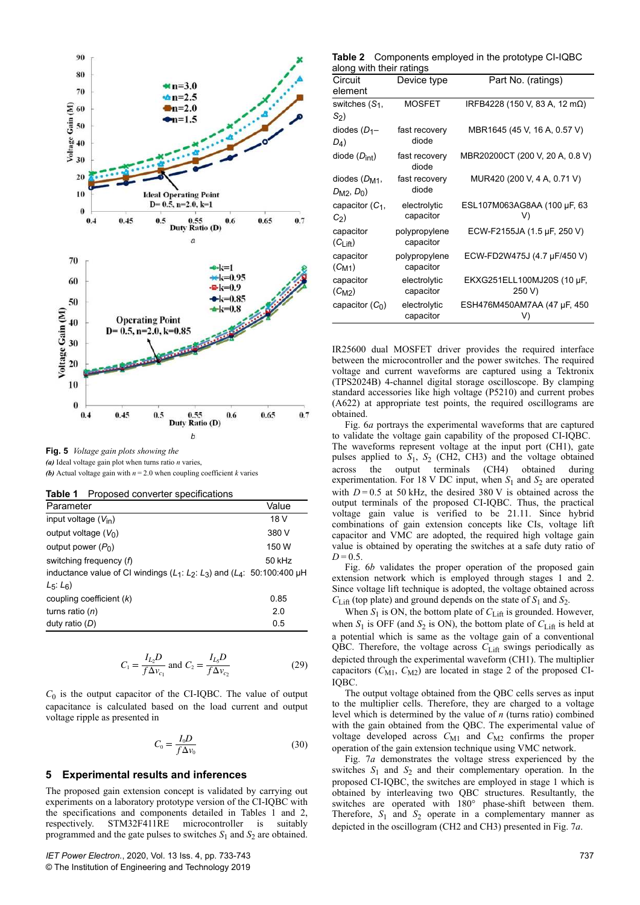

**Fig. 5** *Voltage gain plots showing the (a)* Ideal voltage gain plot when turns ratio *n* varies,

**(b)** Actual voltage gain with  $n = 2.0$  when coupling coefficient *k* varies

| Proposed converter specifications<br>Table 1 |  |
|----------------------------------------------|--|
|----------------------------------------------|--|

| Parameter                                                                       | Value  |
|---------------------------------------------------------------------------------|--------|
| input voltage $(V_{\text{in}})$                                                 | 18 V   |
| output voltage $(V_0)$                                                          | 380 V  |
| output power $(P_0)$                                                            | 150 W  |
| switching frequency (f)                                                         | 50 kHz |
| inductance value of CI windings $(L_1: L_2: L_3)$ and $(L_4: 50:100:400 \mu H)$ |        |
| $L_5: L_6$                                                                      |        |
| coupling coefficient $(k)$                                                      | 0.85   |
| turns ratio $(n)$                                                               | 2.0    |
| duty ratio $(D)$                                                                | 0.5    |

$$
C_1 = \frac{I_{L_2}D}{f\Delta v_{c_1}} \text{ and } C_2 = \frac{I_{L_5}D}{f\Delta v_{c_2}}
$$
 (29)

 $C_0$  is the output capacitor of the CI-IQBC. The value of output capacitance is calculated based on the load current and output voltage ripple as presented in

$$
C_0 = \frac{I_0 D}{f \Delta v_0} \tag{30}
$$

# **5 Experimental results and inferences**

The proposed gain extension concept is validated by carrying out experiments on a laboratory prototype version of the CI-IQBC with the specifications and components detailed in Tables 1 and 2, respectively. STM32F411RE microcontroller is suitably programmed and the gate pulses to switches  $S_1$  and  $S_2$  are obtained.

| Table 2 Components employed in the prototype CI-IQBC |  |
|------------------------------------------------------|--|
| along with their ratings                             |  |

| Circuit<br>element         | Device type                | Part No. (ratings)                |
|----------------------------|----------------------------|-----------------------------------|
| switches $(S_1,$           | <b>MOSFET</b>              | IRFB4228 (150 V, 83 A, 12 mΩ)     |
| $S_2$                      |                            |                                   |
| diodes $(D_1-$             | fast recovery              | MBR1645 (45 V, 16 A, 0.57 V)      |
| $D_4$                      | diode                      |                                   |
| diode $(D_{int})$          | fast recovery<br>diode     | MBR20200CT (200 V, 20 A, 0.8 V)   |
| diodes $(D_{M1},$          | fast recovery              | MUR420 (200 V, 4 A, 0.71 V)       |
| $D_{\rm M2}$ , $D_0$ )     | diode                      |                                   |
| capacitor $(C_1,$<br>$C_2$ | electrolytic<br>capacitor  | ESL107M063AG8AA (100 µF, 63<br>V) |
| capacitor<br>$(Cl$ ift)    | polypropylene<br>capacitor | ECW-F2155JA (1.5 µF, 250 V)       |
| capacitor<br>$(C_{M1})$    | polypropylene<br>capacitor | ECW-FD2W475J (4.7 µF/450 V)       |
| capacitor                  | electrolytic               | EKXG251ELL100MJ20S (10 µF,        |
| $(C_{M2})$                 | capacitor                  | 250 V)                            |
| capacitor $(C_0)$          | electrolytic<br>capacitor  | ESH476M450AM7AA (47 µF, 450<br>V) |

IR25600 dual MOSFET driver provides the required interface between the microcontroller and the power switches. The required voltage and current waveforms are captured using a Tektronix (TPS2024B) 4-channel digital storage oscilloscope. By clamping standard accessories like high voltage (P5210) and current probes (A622) at appropriate test points, the required oscillograms are obtained.

Fig. 6*a* portrays the experimental waveforms that are captured to validate the voltage gain capability of the proposed CI-IQBC. The waveforms represent voltage at the input port (CH1), gate pulses applied to  $S_1$ ,  $S_2$  (CH2, CH3) and the voltage obtained across the output terminals (CH4) obtained during experimentation. For 18 V DC input, when  $S_1$  and  $S_2$  are operated with  $D = 0.5$  at 50 kHz, the desired 380 V is obtained across the output terminals of the proposed CI-IQBC. Thus, the practical voltage gain value is verified to be 21.11. Since hybrid combinations of gain extension concepts like CIs, voltage lift capacitor and VMC are adopted, the required high voltage gain value is obtained by operating the switches at a safe duty ratio of *D* = 0.5.

Fig. 6*b* validates the proper operation of the proposed gain extension network which is employed through stages 1 and 2. Since voltage lift technique is adopted, the voltage obtained across  $C_{\text{Liff}}$  (top plate) and ground depends on the state of  $S_1$  and  $S_2$ .

When  $S_1$  is ON, the bottom plate of  $C_{\text{Liff}}$  is grounded. However, when  $S_1$  is OFF (and  $S_2$  is ON), the bottom plate of  $C_{\text{Lift}}$  is held at a potential which is same as the voltage gain of a conventional QBC. Therefore, the voltage across *C*Lift swings periodically as depicted through the experimental waveform (CH1). The multiplier capacitors ( $C_{\text{M1}}$ ,  $C_{\text{M2}}$ ) are located in stage 2 of the proposed CI-IQBC.

The output voltage obtained from the QBC cells serves as input to the multiplier cells. Therefore, they are charged to a voltage level which is determined by the value of *n* (turns ratio) combined with the gain obtained from the QBC. The experimental value of voltage developed across  $C_{\text{M1}}$  and  $C_{\text{M2}}$  confirms the proper operation of the gain extension technique using VMC network.

Fig. 7*a* demonstrates the voltage stress experienced by the switches  $S_1$  and  $S_2$  and their complementary operation. In the proposed CI-IQBC, the switches are employed in stage 1 which is obtained by interleaving two QBC structures. Resultantly, the switches are operated with 180° phase-shift between them. Therefore,  $S_1$  and  $S_2$  operate in a complementary manner as depicted in the oscillogram (CH2 and CH3) presented in Fig. 7*a*.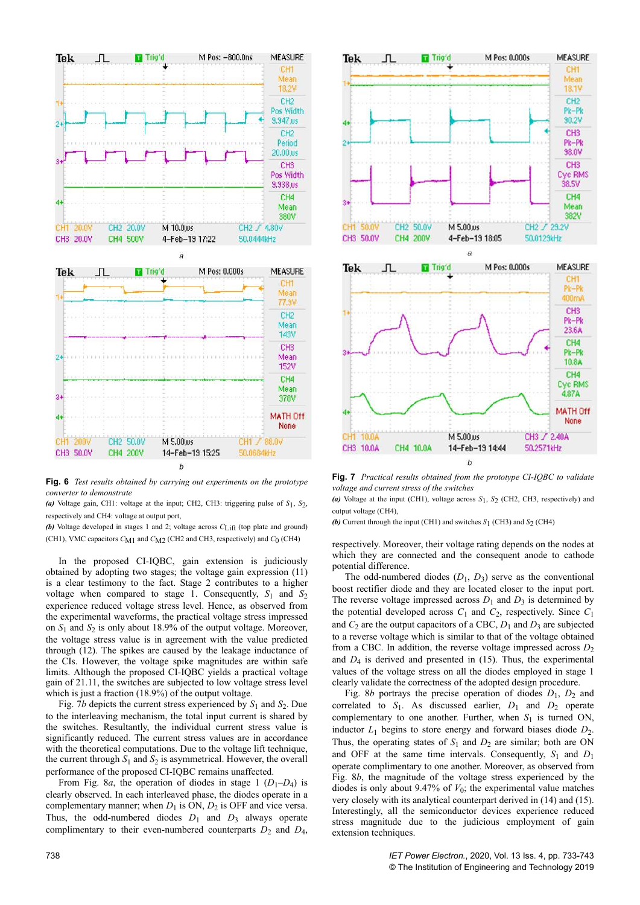

**Fig. 6** *Test results obtained by carrying out experiments on the prototype converter to demonstrate*

(a) Voltage gain, CH1: voltage at the input; CH2, CH3: triggering pulse of  $S_1$ ,  $S_2$ , respectively and CH4: voltage at output port,

**(b)** Voltage developed in stages 1 and 2; voltage across  $C_{\text{Liff}}$  (top plate and ground) (CH1), VMC capacitors *C*M1 and *C*M2 (CH2 and CH3, respectively) and *C*0 (CH4)

In the proposed CI-IQBC, gain extension is judiciously obtained by adopting two stages; the voltage gain expression (11) is a clear testimony to the fact. Stage 2 contributes to a higher voltage when compared to stage 1. Consequently,  $S_1$  and  $S_2$ experience reduced voltage stress level. Hence, as observed from the experimental waveforms, the practical voltage stress impressed on  $S_1$  and  $S_2$  is only about 18.9% of the output voltage. Moreover, the voltage stress value is in agreement with the value predicted through (12). The spikes are caused by the leakage inductance of the CIs. However, the voltage spike magnitudes are within safe limits. Although the proposed CI-IQBC yields a practical voltage gain of 21.11, the switches are subjected to low voltage stress level which is just a fraction (18.9%) of the output voltage.

Fig. 7*b* depicts the current stress experienced by  $S_1$  and  $S_2$ . Due to the interleaving mechanism, the total input current is shared by the switches. Resultantly, the individual current stress value is significantly reduced. The current stress values are in accordance with the theoretical computations. Due to the voltage lift technique, the current through  $S_1$  and  $S_2$  is asymmetrical. However, the overall performance of the proposed CI-IQBC remains unaffected.

From Fig. 8*a*, the operation of diodes in stage  $1(D_1-D_4)$  is clearly observed. In each interleaved phase, the diodes operate in a complementary manner; when  $D_1$  is ON,  $D_2$  is OFF and vice versa. Thus, the odd-numbered diodes  $D_1$  and  $D_3$  always operate complimentary to their even-numbered counterparts  $D_2$  and  $D_4$ ,



**Fig. 7** *Practical results obtained from the prototype CI-IQBC to validate voltage and current stress of the switches*

*(a)* Voltage at the input (CH1), voltage across *S*1, *S*2 (CH2, CH3, respectively) and output voltage (CH4),

**(b)** Current through the input (CH1) and switches  $S_1$  (CH3) and  $S_2$  (CH4)

respectively. Moreover, their voltage rating depends on the nodes at which they are connected and the consequent anode to cathode potential difference.

The odd-numbered diodes  $(D_1, D_3)$  serve as the conventional boost rectifier diode and they are located closer to the input port. The reverse voltage impressed across  $D_1$  and  $D_3$  is determined by the potential developed across  $C_1$  and  $C_2$ , respectively. Since  $C_1$ and  $C_2$  are the output capacitors of a CBC,  $D_1$  and  $D_3$  are subjected to a reverse voltage which is similar to that of the voltage obtained from a CBC. In addition, the reverse voltage impressed across  $D_2$ and  $D_4$  is derived and presented in  $(15)$ . Thus, the experimental values of the voltage stress on all the diodes employed in stage 1 clearly validate the correctness of the adopted design procedure.

Fig. 8*b* portrays the precise operation of diodes  $D_1$ ,  $D_2$  and correlated to  $S_1$ . As discussed earlier,  $D_1$  and  $D_2$  operate complementary to one another. Further, when  $S_1$  is turned ON, inductor  $L_1$  begins to store energy and forward biases diode  $D_2$ . Thus, the operating states of  $S_1$  and  $D_2$  are similar; both are ON and OFF at the same time intervals. Consequently,  $S_1$  and  $D_1$ operate complimentary to one another. Moreover, as observed from Fig. 8*b*, the magnitude of the voltage stress experienced by the diodes is only about  $9.47\%$  of  $V_0$ ; the experimental value matches very closely with its analytical counterpart derived in (14) and (15). Interestingly, all the semiconductor devices experience reduced stress magnitude due to the judicious employment of gain extension techniques.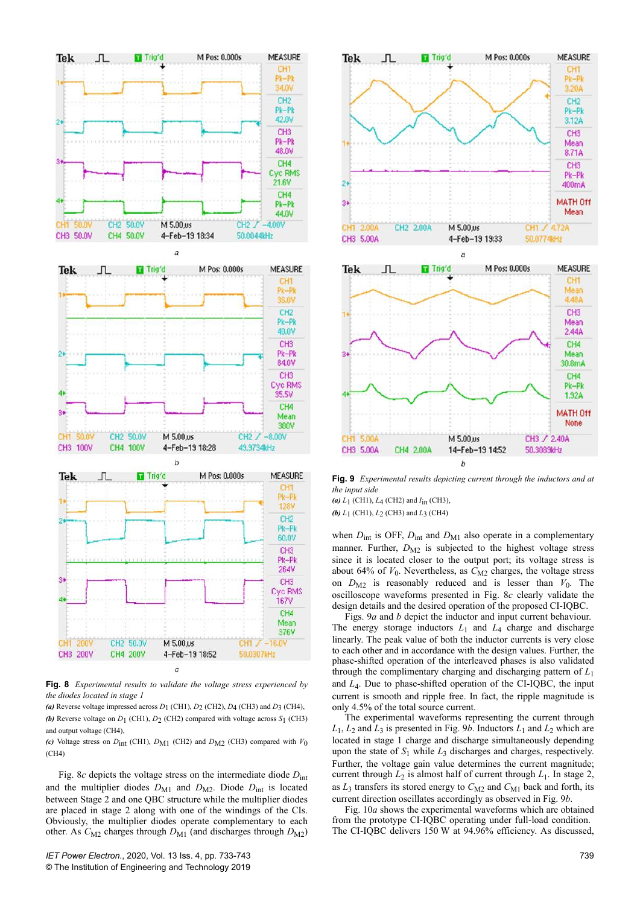

**Fig. 8** *Experimental results to validate the voltage stress experienced by the diodes located in stage 1*

(a) Reverse voltage impressed across  $D_1$  (CH1),  $D_2$  (CH2),  $D_4$  (CH3) and  $D_3$  (CH4), **(b)** Reverse voltage on  $D_1$  (CH1),  $D_2$  (CH2) compared with voltage across  $S_1$  (CH3) and output voltage (CH4),

*(c)* Voltage stress on  $D_{int}$  (CH1),  $D_{M1}$  (CH2) and  $D_{M2}$  (CH3) compared with  $V_0$ (CH4)

Fig. 8*c* depicts the voltage stress on the intermediate diode  $D<sub>int</sub>$ and the multiplier diodes  $D_{\text{M1}}$  and  $D_{\text{M2}}$ . Diode  $D_{\text{int}}$  is located between Stage 2 and one QBC structure while the multiplier diodes are placed in stage 2 along with one of the windings of the CIs. Obviously, the multiplier diodes operate complementary to each other. As  $C_{\rm M2}$  charges through  $D_{\rm M1}$  (and discharges through  $D_{\rm M2}$ )



**Fig. 9** *Experimental results depicting current through the inductors and at the input side*

*(a) L*1 (CH1), *L*4 (CH2) and *I*in (CH3), *(b) L*1 (CH1), *L*2 (CH3) and *L*3 (CH4)

when  $D_{int}$  is OFF,  $D_{int}$  and  $D_{M1}$  also operate in a complementary manner. Further,  $D_{\text{M2}}$  is subjected to the highest voltage stress since it is located closer to the output port; its voltage stress is about 64% of  $V_0$ . Nevertheless, as  $C_{M2}$  charges, the voltage stress on  $D_{\text{M2}}$  is reasonably reduced and is lesser than  $V_0$ . The oscilloscope waveforms presented in Fig. 8*c* clearly validate the design details and the desired operation of the proposed CI-IQBC.

Figs. 9*a* and *b* depict the inductor and input current behaviour. The energy storage inductors  $L_1$  and  $L_4$  charge and discharge linearly. The peak value of both the inductor currents is very close to each other and in accordance with the design values. Further, the phase-shifted operation of the interleaved phases is also validated through the complimentary charging and discharging pattern of *L*<sup>1</sup> and *L*<sup>4</sup> . Due to phase-shifted operation of the CI-IQBC, the input current is smooth and ripple free. In fact, the ripple magnitude is only 4.5% of the total source current.

The experimental waveforms representing the current through  $L_1, L_2$  and  $L_3$  is presented in Fig. 9*b*. Inductors  $L_1$  and  $L_2$  which are located in stage 1 charge and discharge simultaneously depending upon the state of  $S_1$  while  $L_3$  discharges and charges, respectively. Further, the voltage gain value determines the current magnitude; current through  $L_2$  is almost half of current through  $L_1$ . In stage 2, as  $L_3$  transfers its stored energy to  $C_{M2}$  and  $C_{M1}$  back and forth, its current direction oscillates accordingly as observed in Fig. 9*b*.

Fig. 10*a* shows the experimental waveforms which are obtained from the prototype CI-IQBC operating under full-load condition. The CI-IQBC delivers 150 W at 94.96% efficiency. As discussed,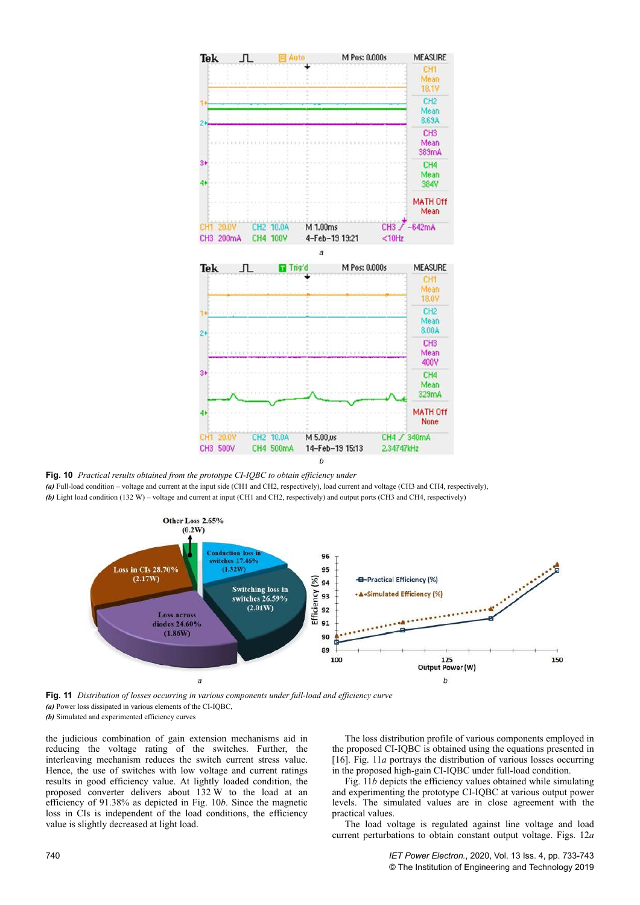

**Fig. 10** *Practical results obtained from the prototype CI-IQBC to obtain efficiency under*

*(a)* Full-load condition – voltage and current at the input side (CH1 and CH2, respectively), load current and voltage (CH3 and CH4, respectively), *(b)* Light load condition (132 W) – voltage and current at input (CH1 and CH2, respectively) and output ports (CH3 and CH4, respectively)



**Fig. 11** *Distribution of losses occurring in various components under full-load and efficiency curve (a)* Power loss dissipated in various elements of the CI-IQBC, *(b)* Simulated and experimented efficiency curves

the judicious combination of gain extension mechanisms aid in reducing the voltage rating of the switches. Further, the interleaving mechanism reduces the switch current stress value. Hence, the use of switches with low voltage and current ratings results in good efficiency value. At lightly loaded condition, the proposed converter delivers about 132 W to the load at an efficiency of 91.38% as depicted in Fig. 10*b*. Since the magnetic loss in CIs is independent of the load conditions, the efficiency value is slightly decreased at light load.

The loss distribution profile of various components employed in the proposed CI-IQBC is obtained using the equations presented in [16]. Fig. 11*a* portrays the distribution of various losses occurring in the proposed high-gain CI-IQBC under full-load condition.

Fig. 11*b* depicts the efficiency values obtained while simulating and experimenting the prototype CI-IQBC at various output power levels. The simulated values are in close agreement with the practical values.

The load voltage is regulated against line voltage and load current perturbations to obtain constant output voltage. Figs. 12*a*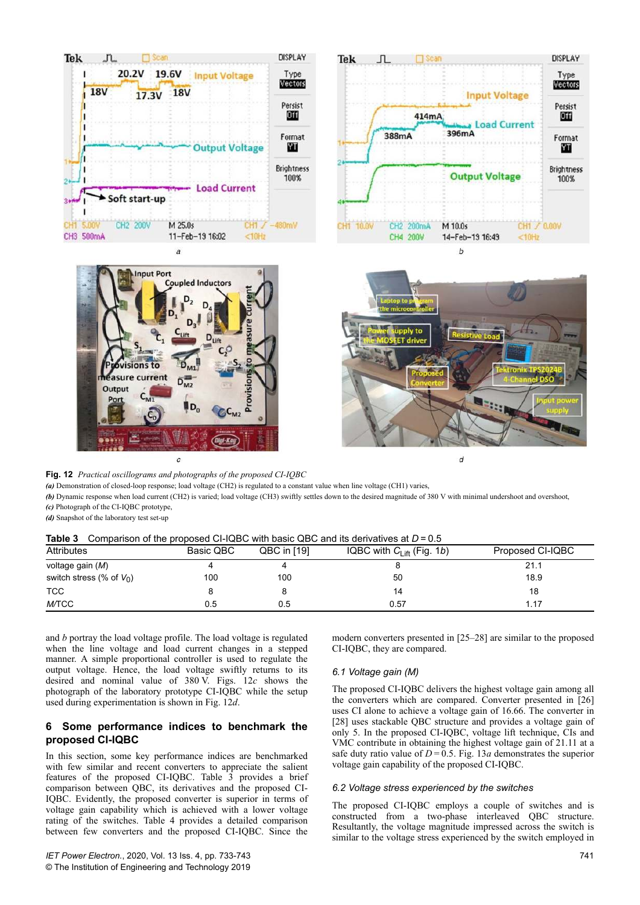





 $\overline{a}$ 

**Fig. 12** *Practical oscillograms and photographs of the proposed CI-IQBC*

*(a)* Demonstration of closed-loop response; load voltage (CH2) is regulated to a constant value when line voltage (CH1) varies,

*(b)* Dynamic response when load current (CH2) is varied; load voltage (CH3) swiftly settles down to the desired magnitude of 380 V with minimal undershoot and overshoot,

*(c)* Photograph of the CI-IQBC prototype,

*(d)* Snapshot of the laboratory test set-up

## **Table 3** Comparison of the proposed CLIQBC with basic QBC and its derivatives at  $D = 0.5$

| $\frac{1}{2}$ . The companion of the proposed of reduced mini-basic exploration to administrative at $\frac{1}{2}$<br><b>Attributes</b> | Basic QBC | QBC in [19] | IQBC with $C_{\text{Liff}}$ (Fig. 1 <i>b</i> ) | Proposed CI-IQBC |  |
|-----------------------------------------------------------------------------------------------------------------------------------------|-----------|-------------|------------------------------------------------|------------------|--|
| voltage gain (M)                                                                                                                        |           |             |                                                | 21.1             |  |
| switch stress (% of $V_0$ )                                                                                                             | 100       | 100         | 50                                             | 18.9             |  |
| <b>TCC</b>                                                                                                                              |           |             | 14                                             | 18               |  |
| <b>M/TCC</b>                                                                                                                            | 0.5       | 0.5         | 0.57                                           | 1.17             |  |

and *b* portray the load voltage profile. The load voltage is regulated when the line voltage and load current changes in a stepped manner. A simple proportional controller is used to regulate the output voltage. Hence, the load voltage swiftly returns to its desired and nominal value of 380 V. Figs. 12*c* shows the photograph of the laboratory prototype CI-IQBC while the setup used during experimentation is shown in Fig. 12*d*.

# **6 Some performance indices to benchmark the proposed CI-IQBC**

In this section, some key performance indices are benchmarked with few similar and recent converters to appreciate the salient features of the proposed CI-IQBC. Table 3 provides a brief comparison between QBC, its derivatives and the proposed CI-IQBC. Evidently, the proposed converter is superior in terms of voltage gain capability which is achieved with a lower voltage rating of the switches. Table 4 provides a detailed comparison between few converters and the proposed CI-IQBC. Since the modern converters presented in [25–28] are similar to the proposed CI-IQBC, they are compared.

## *6.1 Voltage gain (M)*

The proposed CI-IQBC delivers the highest voltage gain among all the converters which are compared. Converter presented in [26] uses CI alone to achieve a voltage gain of 16.66. The converter in [28] uses stackable QBC structure and provides a voltage gain of only 5. In the proposed CI-IQBC, voltage lift technique, CIs and VMC contribute in obtaining the highest voltage gain of 21.11 at a safe duty ratio value of  $D = 0.5$ . Fig. 13*a* demonstrates the superior voltage gain capability of the proposed CI-IQBC.

## *6.2 Voltage stress experienced by the switches*

The proposed CI-IQBC employs a couple of switches and is constructed from a two-phase interleaved QBC structure. Resultantly, the voltage magnitude impressed across the switch is similar to the voltage stress experienced by the switch employed in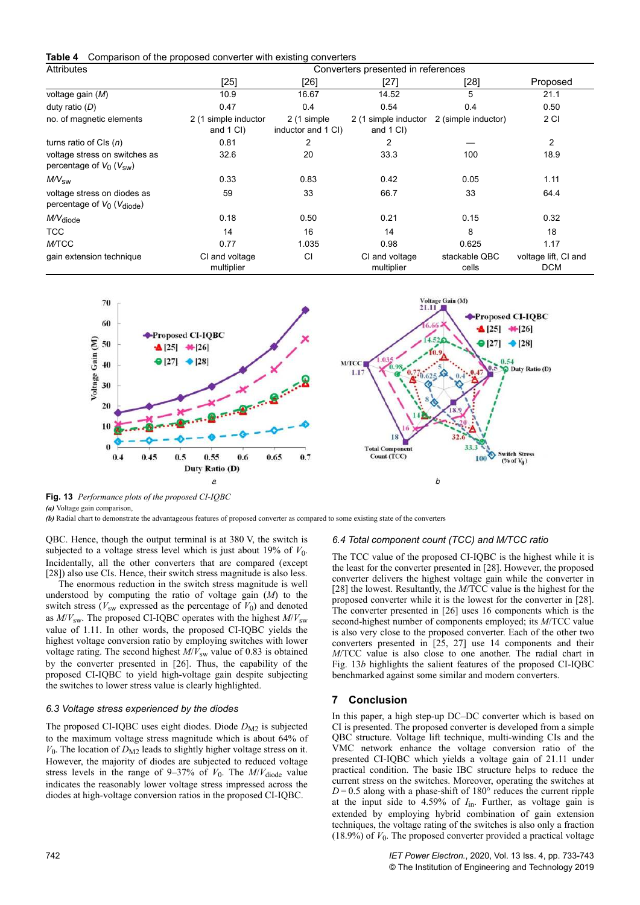**Table 4** Comparison of the proposed converter with existing converters

| <b>Attributes</b>                                                         |                                   |                                   | Converters presented in references |                        |                                    |
|---------------------------------------------------------------------------|-----------------------------------|-----------------------------------|------------------------------------|------------------------|------------------------------------|
|                                                                           | $[25]$                            | [26]                              | $[27]$                             | [28]                   | Proposed                           |
| voltage gain (M)                                                          | 10.9                              | 16.67                             | 14.52                              | 5                      | 21.1                               |
| duty ratio $(D)$                                                          | 0.47                              | 0.4                               | 0.54                               | 0.4                    | 0.50                               |
| no. of magnetic elements                                                  | 2 (1 simple inductor<br>and 1 CI) | 2 (1 simple<br>inductor and 1 CI) | 2 (1 simple inductor<br>and 1 CI)  | 2 (simple inductor)    | 2 CI                               |
| turns ratio of CIs $(n)$                                                  | 0.81                              | 2                                 | 2                                  |                        | $\overline{c}$                     |
| voltage stress on switches as<br>percentage of $V_0$ ( $V_{sw}$ )         | 32.6                              | 20                                | 33.3                               | 100                    | 18.9                               |
| $M\!N_{\rm SW}$                                                           | 0.33                              | 0.83                              | 0.42                               | 0.05                   | 1.11                               |
| voltage stress on diodes as<br>percentage of $V_0$ ( $V_{\text{diode}}$ ) | 59                                | 33                                | 66.7                               | 33                     | 64.4                               |
| M/V <sub>diode</sub>                                                      | 0.18                              | 0.50                              | 0.21                               | 0.15                   | 0.32                               |
| <b>TCC</b>                                                                | 14                                | 16                                | 14                                 | 8                      | 18                                 |
| <b>M/TCC</b>                                                              | 0.77                              | 1.035                             | 0.98                               | 0.625                  | 1.17                               |
| gain extension technique                                                  | CI and voltage<br>multiplier      | CI                                | CI and voltage<br>multiplier       | stackable QBC<br>cells | voltage lift, CI and<br><b>DCM</b> |



**Fig. 13** *Performance plots of the proposed CI-IQBC*

*(a)* Voltage gain comparison,

*(b)* Radial chart to demonstrate the advantageous features of proposed converter as compared to some existing state of the converters

QBC. Hence, though the output terminal is at 380 V, the switch is subjected to a voltage stress level which is just about  $19\%$  of  $V_0$ . Incidentally, all the other converters that are compared (except [28]) also use CIs. Hence, their switch stress magnitude is also less.

The enormous reduction in the switch stress magnitude is well understood by computing the ratio of voltage gain (*M*) to the switch stress ( $V_{\text{sw}}$  expressed as the percentage of  $V_0$ ) and denoted as  $M/V_{sw}$ . The proposed CI-IQBC operates with the highest  $M/V_{sw}$ value of 1.11. In other words, the proposed CI-IQBC yields the highest voltage conversion ratio by employing switches with lower voltage rating. The second highest  $M/\tilde{V}_{sw}$  value of 0.83 is obtained by the converter presented in [26]. Thus, the capability of the proposed CI-IQBC to yield high-voltage gain despite subjecting the switches to lower stress value is clearly highlighted.

## *6.3 Voltage stress experienced by the diodes*

The proposed CI-IQBC uses eight diodes. Diode  $D_{\rm M2}$  is subjected to the maximum voltage stress magnitude which is about 64% of  $V_0$ . The location of  $D_{\text{M2}}$  leads to slightly higher voltage stress on it. However, the majority of diodes are subjected to reduced voltage stress levels in the range of  $9-37\%$  of  $V_0$ . The  $M/V_{\text{diode}}$  value indicates the reasonably lower voltage stress impressed across the diodes at high-voltage conversion ratios in the proposed CI-IQBC.

## *6.4 Total component count (TCC) and M/TCC ratio*

The TCC value of the proposed CI-IQBC is the highest while it is the least for the converter presented in [28]. However, the proposed converter delivers the highest voltage gain while the converter in [28] the lowest. Resultantly, the *M*/TCC value is the highest for the proposed converter while it is the lowest for the converter in [28]. The converter presented in [26] uses 16 components which is the second-highest number of components employed; its *M*/TCC value is also very close to the proposed converter. Each of the other two converters presented in [25, 27] use 14 components and their *M*/TCC value is also close to one another. The radial chart in Fig. 13*b* highlights the salient features of the proposed CI-IQBC benchmarked against some similar and modern converters.

## **7 Conclusion**

In this paper, a high step-up DC–DC converter which is based on CI is presented. The proposed converter is developed from a simple QBC structure. Voltage lift technique, multi-winding CIs and the VMC network enhance the voltage conversion ratio of the presented CI-IQBC which yields a voltage gain of 21.11 under practical condition. The basic IBC structure helps to reduce the current stress on the switches. Moreover, operating the switches at  $D = 0.5$  along with a phase-shift of 180 $\degree$  reduces the current ripple at the input side to 4.59% of *I*in. Further, as voltage gain is extended by employing hybrid combination of gain extension techniques, the voltage rating of the switches is also only a fraction  $(18.9%)$  of  $V_0$ . The proposed converter provided a practical voltage